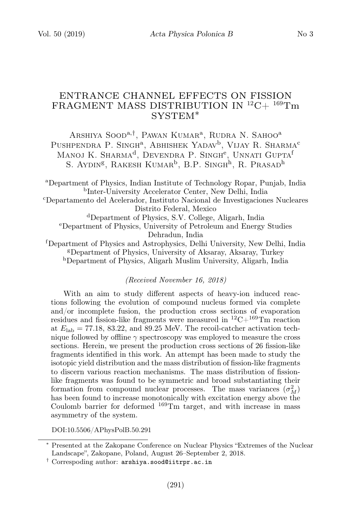# ENTRANCE CHANNEL EFFECTS ON FISSION FRAGMENT MASS DISTRIBUTION IN  ${}^{12}C+{}^{169}Tm$ SYSTEM∗

Arshiya Sood<sup>a,†</sup>, Pawan Kumar<sup>a</sup>, Rudra N. Sahoo<sup>a</sup> Pushpendra P. Singh<sup>a</sup>, Abhishek Yadav<sup>b</sup>, Vijay R. Sharma<sup>c</sup> Manoj K. Sharma<sup>d</sup>, Devendra P. Singh<sup>e</sup>, Unnati Gupta<sup>f</sup> S. AYDIN<sup>g</sup>, RAKESH KUMAR<sup>b</sup>, B.P. SINGH<sup>h</sup>, R. PRASAD<sup>h</sup>

<sup>a</sup>Department of Physics, Indian Institute of Technology Ropar, Punjab, India b Inter-University Accelerator Center, New Delhi, India <sup>c</sup>Departamento del Acelerador, Instituto Nacional de Investigaciones Nucleares Distrito Federal, Mexico <sup>d</sup>Department of Physics, S.V. College, Aligarh, India <sup>e</sup>Department of Physics, University of Petroleum and Energy Studies Dehradun, India <sup>f</sup>Department of Physics and Astrophysics, Delhi University, New Delhi, India <sup>g</sup>Department of Physics, University of Aksaray, Aksaray, Turkey

<sup>h</sup>Department of Physics, Aligarh Muslim University, Aligarh, India

### (Received November 16, 2018)

With an aim to study different aspects of heavy-ion induced reactions following the evolution of compound nucleus formed via complete and/or incomplete fusion, the production cross sections of evaporation residues and fission-like fragments were measured in  ${}^{12}C+{}^{169}Tm$  reaction at  $E_{\rm lab} = 77.18, 83.22,$  and 89.25 MeV. The recoil-catcher activation technique followed by offline  $\gamma$  spectroscopy was employed to measure the cross sections. Herein, we present the production cross sections of 26 fission-like fragments identified in this work. An attempt has been made to study the isotopic yield distribution and the mass distribution of fission-like fragments to discern various reaction mechanisms. The mass distribution of fissionlike fragments was found to be symmetric and broad substantiating their formation from compound nuclear processes. The mass variances  $(\sigma_M^2)$ has been found to increase monotonically with excitation energy above the Coulomb barrier for deformed  $169$ Tm target, and with increase in mass asymmetry of the system.

DOI:10.5506/APhysPolB.50.291

<sup>∗</sup> Presented at the Zakopane Conference on Nuclear Physics "Extremes of the Nuclear Landscape", Zakopane, Poland, August 26–September 2, 2018.

 $\dagger$  Correspoding author:  $\texttt{arshiya.sood@iitrpr.ac.in}$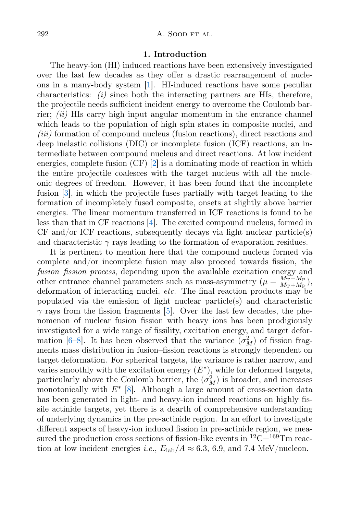## 1. Introduction

The heavy-ion (HI) induced reactions have been extensively investigated over the last few decades as they offer a drastic rearrangement of nucleons in a many-body system [\[1\]](#page-5-0). HI-induced reactions have some peculiar characteristics:  $(i)$  since both the interacting partners are HIs, therefore, the projectile needs sufficient incident energy to overcome the Coulomb barrier;  $(ii)$  HIs carry high input angular momentum in the entrance channel which leads to the population of high spin states in composite nuclei, and (iii) formation of compound nucleus (fusion reactions), direct reactions and deep inelastic collisions (DIC) or incomplete fusion (ICF) reactions, an intermediate between compound nucleus and direct reactions. At low incident energies, complete fusion (CF) [\[2\]](#page-5-1) is a dominating mode of reaction in which the entire projectile coalesces with the target nucleus with all the nucleonic degrees of freedom. However, it has been found that the incomplete fusion [\[3\]](#page-5-2), in which the projectile fuses partially with target leading to the formation of incompletely fused composite, onsets at slightly above barrier energies. The linear momentum transferred in ICF reactions is found to be less than that in CF reactions [\[4\]](#page-5-3). The excited compound nucleus, formed in  $CF$  and/or ICF reactions, subsequently decays via light nuclear particle(s) and characteristic  $\gamma$  rays leading to the formation of evaporation residues.

It is pertinent to mention here that the compound nucleus formed via complete and/or incomplete fusion may also proceed towards fission, the fusion–fission process, depending upon the available excitation energy and other entrance channel parameters such as mass-asymmetry  $(\mu = \frac{M_T - M_P}{M_T + M_P})$  $\frac{M_{\rm T}-M_{\rm P}}{M_{\rm T}+M_{\rm P}}\big),$ deformation of interacting nuclei, etc. The final reaction products may be populated via the emission of light nuclear particle(s) and characteristic  $\gamma$  rays from the fission fragments [\[5\]](#page-5-4). Over the last few decades, the phenomenon of nuclear fusion–fission with heavy ions has been prodigiously investigated for a wide range of fissility, excitation energy, and target defor-mation [\[6](#page-5-5)[–8\]](#page-5-6). It has been observed that the variance  $(\sigma_M^2)$  of fission fragments mass distribution in fusion–fission reactions is strongly dependent on target deformation. For spherical targets, the variance is rather narrow, and varies smoothly with the excitation energy  $(E^*)$ , while for deformed targets, particularly above the Coulomb barrier, the  $(\sigma_M^2)$  is broader, and increases monotonically with  $E^*$  [\[8\]](#page-5-6). Although a large amount of cross-section data has been generated in light- and heavy-ion induced reactions on highly fissile actinide targets, yet there is a dearth of comprehensive understanding of underlying dynamics in the pre-actinide region. In an effort to investigate different aspects of heavy-ion induced fission in pre-actinide region, we measured the production cross sections of fission-like events in  ${}^{12}C+{}^{169}Tm$  reaction at low incident energies *i.e.*,  $E_{\text{lab}}/A \approx 6.3, 6.9, \text{ and } 7.4 \text{ MeV/nucleon.}$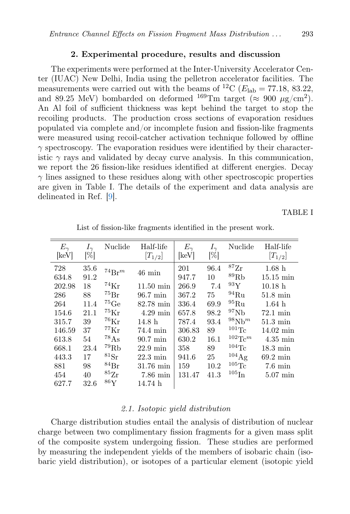## 2. Experimental procedure, results and discussion

The experiments were performed at the Inter-University Accelerator Center (IUAC) New Delhi, India using the pelletron accelerator facilities. The measurements were carried out with the beams of <sup>12</sup>C ( $E_{\text{lab}} = 77.18$ , 83.22, and 89.25 MeV) bombarded on deformed  $^{169}$ Tm target ( $\approx 900 \mu$ g/cm<sup>2</sup>). An Al foil of sufficient thickness was kept behind the target to stop the recoiling products. The production cross sections of evaporation residues populated via complete and/or incomplete fusion and fission-like fragments were measured using recoil-catcher activation technique followed by offline  $\gamma$  spectroscopy. The evaporation residues were identified by their characteristic  $\gamma$  rays and validated by decay curve analysis. In this communication, we report the 26 fission-like residues identified at different energies. Decay  $\gamma$  lines assigned to these residues along with other spectroscopic properties are given in Table I. The details of the experiment and data analysis are delineated in Ref. [\[9\]](#page-5-7).

TABLE I

| $E_{\gamma}$ | $I_{\gamma}$        | Nuclide              | Half-life           | $E_{\gamma}$ | $I_{\gamma}$        | Nuclide              | Half-life           |
|--------------|---------------------|----------------------|---------------------|--------------|---------------------|----------------------|---------------------|
| [keV]        | $\lbrack\% \rbrack$ |                      | $[T_{1/2}]$         | [keV]        | $\lbrack\% \rbrack$ |                      | $[T_{1/2}]$         |
| 728          | 35.6                | $^{74}Br^m$          |                     | 201          | 96.4                | $^{87}\mathrm{Zr}$   | 1.68h               |
| 634.8        | 91.2                |                      | $46 \text{ min}$    | 947.7        | 10                  | ${}^{89}\mathrm{Rb}$ | $15.15 \text{ min}$ |
| 202.98       | 18                  | $^{74}\mathrm{Kr}$   | $11.50 \text{ min}$ | 266.9        | 7.4                 | 93Y                  | 10.18 <sub>h</sub>  |
| 286          | 88                  | $^{75}\text{Br}$     | $96.7 \text{ min}$  | 367.2        | 75                  | $^{94}\mathrm{Ru}$   | $51.8 \text{ min}$  |
| 264          | 11.4                | $^{75}$ Ge           | $82.78$ min         | 336.4        | 69.9                | ${}^{95}Ru$          | 1.64 <sub>h</sub>   |
| 154.6        | 21.1                | $^{75}\mathrm{Kr}$   | $4.29 \text{ min}$  | 657.8        | 98.2                | $^{97}Nb$            | $72.1 \text{ min}$  |
| 315.7        | 39                  | $^{76}\mathrm{Kr}$   | 14.8 <sub>h</sub>   | 787.4        | 93.4                | $98Nh^m$             | $51.3 \text{ min}$  |
| 146.59       | 37                  | $^{77}\mathrm{Kr}$   | 74.4 min            | 306.83       | 89                  | $101 \text{Tc}$      | $14.02 \text{ min}$ |
| 613.8        | 54                  | $^{78}\mathrm{As}$   | $90.7 \text{ min}$  | 630.2        | 16.1                | $102 \text{T}c^m$    | $4.35 \text{ min}$  |
| 668.1        | 23.4                | ${}^{79}\mathrm{Rb}$ | $22.9 \text{ min}$  | 358          | 89                  | $104$ Tc             | $18.3 \text{ min}$  |
| 443.3        | 17                  | ${}^{81}\mathrm{Sr}$ | $22.3 \text{ min}$  | 941.6        | 25                  | $104\text{Ag}$       | $69.2 \text{ min}$  |
| 881          | 98                  | $^{84}\rm{Br}$       | $31.76 \text{ min}$ | 159          | 10.2                | $^{105}\mathrm{Tc}$  | $7.6 \text{ min}$   |
| 454          | 40                  | ${}^{85}\mathrm{Zr}$ | $7.86 \text{ min}$  | 131.47       | 41.3                | $^{105}\mathrm{In}$  | $5.07$ min          |
| 627.7        | 32.6                | $^{86}\mathrm{Y}$    | 14.74 h             |              |                     |                      |                     |

List of fission-like fragments identified in the present work.

## 2.1. Isotopic yield distribution

Charge distribution studies entail the analysis of distribution of nuclear charge between two complimentary fission fragments for a given mass split of the composite system undergoing fission. These studies are performed by measuring the independent yields of the members of isobaric chain (isobaric yield distribution), or isotopes of a particular element (isotopic yield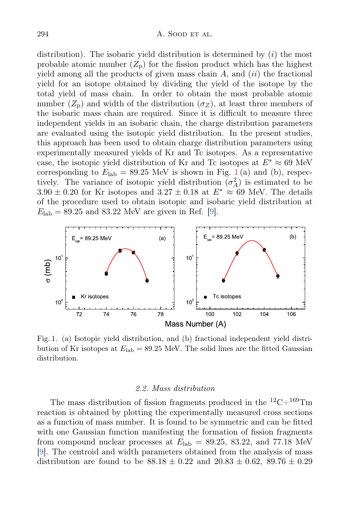distribution). The isobaric yield distribution is determined by  $(i)$  the most probable atomic number  $(Z_p)$  for the fission product which has the highest yield among all the products of given mass chain  $A$ , and *(ii)* the fractional yield for an isotope obtained by dividing the yield of the isotope by the total yield of mass chain. In order to obtain the most probable atomic number  $(Z_p)$  and width of the distribution  $(\sigma_Z)$ , at least three members of the isobaric mass chain are required. Since it is difficult to measure three independent yields in an isobaric chain, the charge distribution parameters are evaluated using the isotopic yield distribution. In the present studies, this approach has been used to obtain charge distribution parameters using experimentally measured yields of Kr and Tc isotopes. As a representative case, the isotopic yield distribution of Kr and Tc isotopes at  $E^* \approx 69$  MeV corresponding to  $E_{\rm lab} = 89.25$  MeV is shown in Fig. [1](#page-3-0)(a) and (b), respectively. The variance of isotopic yield distribution  $(\sigma_A^2)$  is estimated to be  $3.90 \pm 0.20$  for Kr isotopes and  $3.27 \pm 0.18$  at  $E^* \approx 69$  MeV. The details of the procedure used to obtain isotopic and isobaric yield distribution at  $E_{\rm lab} = 89.25$  and 83.22 MeV are given in Ref. [\[9\]](#page-5-7).



<span id="page-3-0"></span>Fig. 1. (a) Isotopic yield distribution, and (b) fractional independent yield distribution of Kr isotopes at  $E_{\text{lab}} = 89.25$  MeV. The solid lines are the fitted Gaussian distribution.

## 2.2. Mass distribution

The mass distribution of fission fragments produced in the  $^{12}C+^{169}Tm$ reaction is obtained by plotting the experimentally measured cross sections as a function of mass number. It is found to be symmetric and can be fitted with one Gaussian function manifesting the formation of fission fragments from compound nuclear processes at  $E_{\rm lab} = 89.25, 83.22,$  and 77.18 MeV [\[9\]](#page-5-7). The centroid and width parameters obtained from the analysis of mass distribution are found to be  $88.18 \pm 0.22$  and  $20.83 \pm 0.62$ ,  $89.76 \pm 0.29$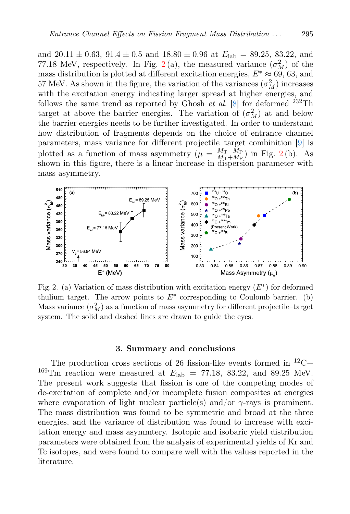and  $20.11 \pm 0.63$ ,  $91.4 \pm 0.5$  and  $18.80 \pm 0.96$  at  $E_{\rm lab} = 89.25$ , 83.22, and 77.18 MeV, respectively. In Fig. [2](#page-4-0)(a), the measured variance  $(\sigma_M^2)$  of the mass distribution is plotted at different excitation energies,  $E^* \approx 69, 63$ , and 57 MeV. As shown in the figure, the variation of the variances  $(\sigma_M^2)$  increases with the excitation energy indicating larger spread at higher energies, and follows the same trend as reported by Ghosh et al.  $[8]$  for deformed <sup>232</sup>Th target at above the barrier energies. The variation of  $(\sigma_M^2)$  at and below the barrier energies needs to be further investigated. In order to understand how distribution of fragments depends on the choice of entrance channel parameters, mass variance for different projectile–target combinition [\[9\]](#page-5-7) is plotted as a function of mass asymmetry  $(\mu = \frac{M_T - M_P}{M_T + M_P})$  $\frac{M_{\rm T}-M_{\rm P}}{M_{\rm T}+M_{\rm P}}$ ) in Fig. [2](#page-4-0)(b). As shown in this figure, there is a linear increase in dispersion parameter with mass asymmetry.



<span id="page-4-0"></span>Fig. 2. (a) Variation of mass distribution with excitation energy  $(E^*)$  for deformed thulium target. The arrow points to  $E^*$  corresponding to Coulomb barrier. (b) Mass variance  $(\sigma_M^2)$  as a function of mass asymmetry for different projectile–target system. The solid and dashed lines are drawn to guide the eyes.

#### 3. Summary and conclusions

The production cross sections of 26 fission-like events formed in  $^{12}C+$ <sup>169</sup>Tm reaction were measured at  $E_{\rm lab} = 77.18, 83.22,$  and 89.25 MeV. The present work suggests that fission is one of the competing modes of de-excitation of complete and/or incomplete fusion composites at energies where evaporation of light nuclear particle(s) and/or  $\gamma$ -rays is prominent. The mass distribution was found to be symmetric and broad at the three energies, and the variance of distribution was found to increase with excitation energy and mass asymmtery. Isotopic and isobaric yield distribution parameters were obtained from the analysis of experimental yields of Kr and Tc isotopes, and were found to compare well with the values reported in the literature.